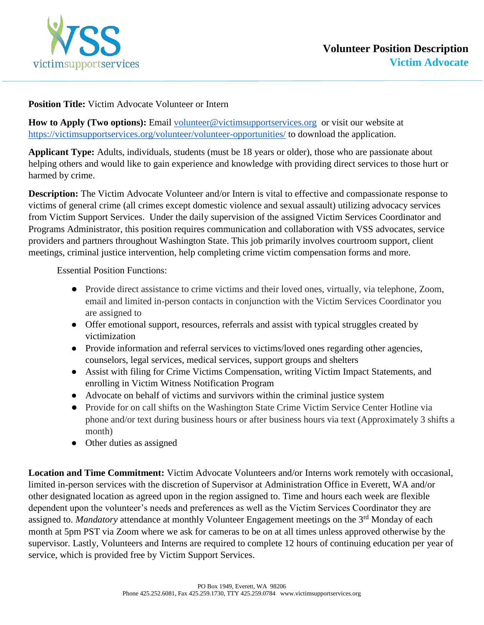

## **Position Title:** Victim Advocate Volunteer or Intern

How to Apply (Two options): Email [volunteer@victimsupportservices.org](mailto:volunteer@victimsupportservices.org) or visit our website at <https://victimsupportservices.org/volunteer/volunteer-opportunities/> to download the application.

**Applicant Type:** Adults, individuals, students (must be 18 years or older), those who are passionate about helping others and would like to gain experience and knowledge with providing direct services to those hurt or harmed by crime.

**Description:** The Victim Advocate Volunteer and/or Intern is vital to effective and compassionate response to victims of general crime (all crimes except domestic violence and sexual assault) utilizing advocacy services from Victim Support Services. Under the daily supervision of the assigned Victim Services Coordinator and Programs Administrator, this position requires communication and collaboration with VSS advocates, service providers and partners throughout Washington State. This job primarily involves courtroom support, client meetings, criminal justice intervention, help completing crime victim compensation forms and more.

Essential Position Functions:

- Provide direct assistance to crime victims and their loved ones, virtually, via telephone, Zoom, email and limited in-person contacts in conjunction with the Victim Services Coordinator you are assigned to
- Offer emotional support, resources, referrals and assist with typical struggles created by victimization
- Provide information and referral services to victims/loved ones regarding other agencies, counselors, legal services, medical services, support groups and shelters
- Assist with filing for Crime Victims Compensation, writing Victim Impact Statements, and enrolling in Victim Witness Notification Program
- Advocate on behalf of victims and survivors within the criminal justice system
- Provide for on call shifts on the Washington State Crime Victim Service Center Hotline via phone and/or text during business hours or after business hours via text (Approximately 3 shifts a month)
- Other duties as assigned

**Location and Time Commitment:** Victim Advocate Volunteers and/or Interns work remotely with occasional, limited in-person services with the discretion of Supervisor at Administration Office in Everett, WA and/or other designated location as agreed upon in the region assigned to. Time and hours each week are flexible dependent upon the volunteer's needs and preferences as well as the Victim Services Coordinator they are assigned to. *Mandatory* attendance at monthly Volunteer Engagement meetings on the 3<sup>rd</sup> Monday of each month at 5pm PST via Zoom where we ask for cameras to be on at all times unless approved otherwise by the supervisor. Lastly, Volunteers and Interns are required to complete 12 hours of continuing education per year of service, which is provided free by Victim Support Services.